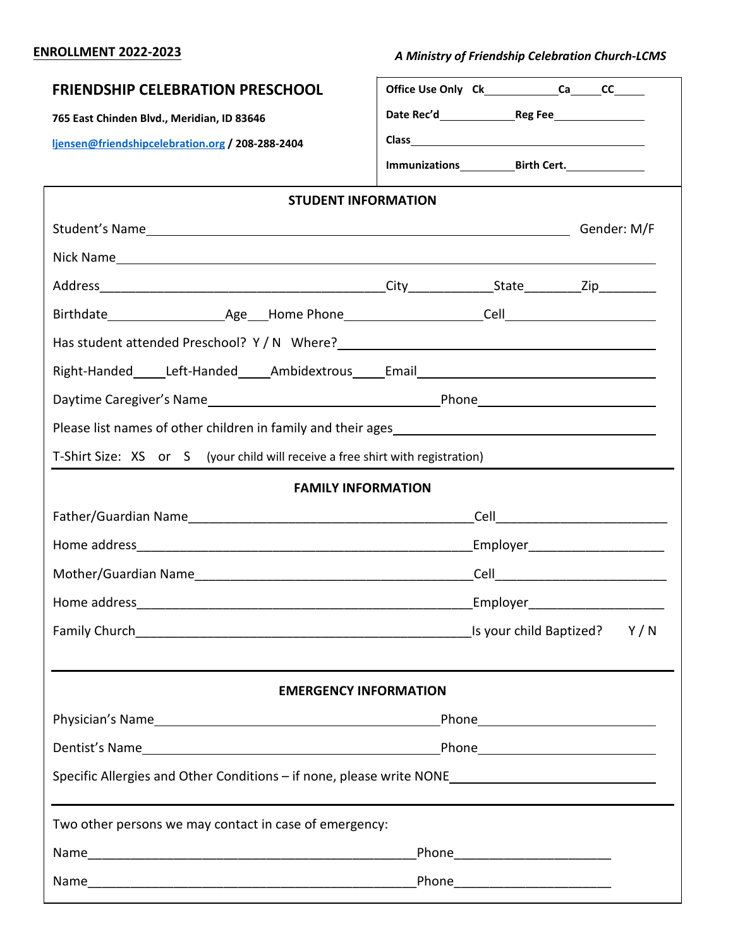## **ENROLLMENT 2022-2023**

 *A Ministry of Friendship Celebration Church-LCMS*

| <b>FRIENDSHIP CELEBRATION PRESCHOOL</b>                                                                                             | Office Use Only Ck________________Ca______CC_______ |  |  |  |  |  |
|-------------------------------------------------------------------------------------------------------------------------------------|-----------------------------------------------------|--|--|--|--|--|
| 765 East Chinden Blvd., Meridian, ID 83646                                                                                          |                                                     |  |  |  |  |  |
| ljensen@friendshipcelebration.org / 208-288-2404                                                                                    |                                                     |  |  |  |  |  |
|                                                                                                                                     |                                                     |  |  |  |  |  |
| <b>STUDENT INFORMATION</b>                                                                                                          |                                                     |  |  |  |  |  |
|                                                                                                                                     |                                                     |  |  |  |  |  |
|                                                                                                                                     |                                                     |  |  |  |  |  |
|                                                                                                                                     |                                                     |  |  |  |  |  |
|                                                                                                                                     |                                                     |  |  |  |  |  |
|                                                                                                                                     |                                                     |  |  |  |  |  |
| Right-Handed_____Left-Handed______Ambidextrous_____Email________________________                                                    |                                                     |  |  |  |  |  |
|                                                                                                                                     |                                                     |  |  |  |  |  |
| Please list names of other children in family and their ages<br><u>Please list names of other children in family and their ages</u> |                                                     |  |  |  |  |  |
| T-Shirt Size: XS or S (your child will receive a free shirt with registration)                                                      |                                                     |  |  |  |  |  |
| <b>FAMILY INFORMATION</b>                                                                                                           |                                                     |  |  |  |  |  |
|                                                                                                                                     |                                                     |  |  |  |  |  |
|                                                                                                                                     |                                                     |  |  |  |  |  |
|                                                                                                                                     |                                                     |  |  |  |  |  |
|                                                                                                                                     |                                                     |  |  |  |  |  |
|                                                                                                                                     |                                                     |  |  |  |  |  |
|                                                                                                                                     |                                                     |  |  |  |  |  |
| <b>EMERGENCY INFORMATION</b>                                                                                                        |                                                     |  |  |  |  |  |
|                                                                                                                                     |                                                     |  |  |  |  |  |
|                                                                                                                                     |                                                     |  |  |  |  |  |
| Specific Allergies and Other Conditions - if none, please write NONE ______________________________                                 |                                                     |  |  |  |  |  |
| Two other persons we may contact in case of emergency:                                                                              |                                                     |  |  |  |  |  |
|                                                                                                                                     | _Phone_____________________________                 |  |  |  |  |  |
|                                                                                                                                     |                                                     |  |  |  |  |  |